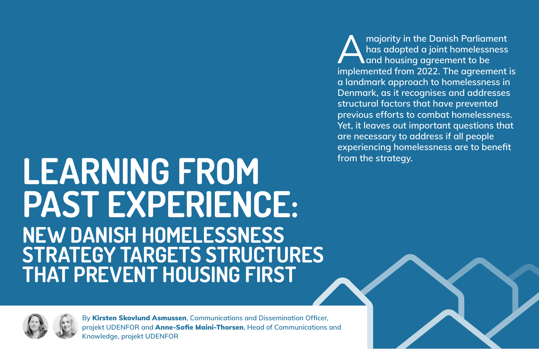**By** Kirsten Skovlund Asmussen**, Communications and Dissemination Officer, projekt UDENFOR and** Anne-Sofie Maini-Thorsen**, Head of Communications and Knowledge, projekt UDENFOR**

## **LEARNING FROM PAST EXPERIENCE: NEW DANISH HOMELESSNESS STRATEGY TARGETS STRUCTURES THAT PREVENT HOUSING FIRST**



majority in the Danish Parliament<br>has adopted a joint homelessness<br>and housing agreement to be<br>implemented from 2022. The agreement **has adopted a joint homelessness and housing agreement to be implemented from 2022. The agreement is a landmark approach to homelessness in Denmark, as it recognises and addresses structural factors that have prevented previous efforts to combat homelessness. Yet, it leaves out important questions that are necessary to address if all people experiencing homelessness are to benefit from the strategy.**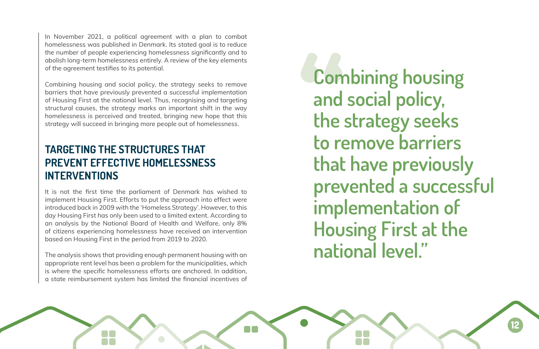In November 2021, a political agreement with a plan to combat homelessness was published in Denmark. Its stated goal is to reduce the number of people experiencing homelessness significantly and to abolish long-term homelessness entirely. A review of the key elements of the agreement testifies to its potential.

Combining housing and social policy, the strategy seeks to remove barriers that have previously prevented a successful implementation of Housing First at the national level. Thus, recognising and targeting structural causes, the strategy marks an important shift in the way homelessness is perceived and treated, bringing new hope that this strategy will succeed in bringing more people out of homelessness.

## **TARGETING THE STRUCTURES THAT PREVENT EFFECTIVE HOMELESSNESS INTERVENTIONS**

It is not the first time the parliament of Denmark has wished to implement Housing First. Efforts to put the approach into effect were introduced back in 2009 with the 'Homeless Strategy'. However, to this day Housing First has only been used to a limited extent. According to an analysis by the National Board of Health and Welfare, only 8% of citizens experiencing homelessness have received an intervention based on Housing First in the period from 2019 to 2020.

The analysis shows that providing enough permanent housing with an appropriate rent level has been a problem for the municipalities, which is where the specific homelessness efforts are anchored. In addition, a state reimbursement system has limited the financial incentives of

N A

**Combining housing and social policy, the strategy seeks to remove barriers that have previously prevented a successful implementation of Housing First at the national level."**

**12**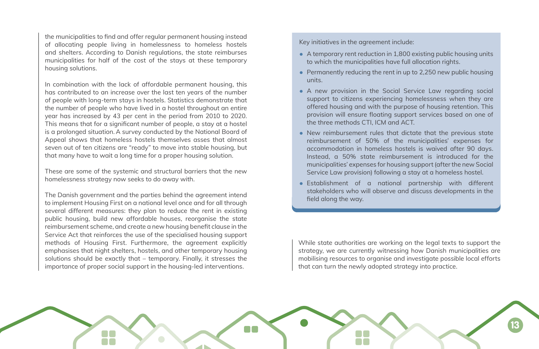While state authorities are working on the legal texts to support the strategy, we are currently witnessing how Danish municipalities are mobilising resources to organise and investigate possible local efforts that can turn the newly adopted strategy into practice.



Key initiatives in the agreement include:

- A temporary rent reduction in 1,800 existing public housing units to which the municipalities have full allocation rights.
- Permanently reducing the rent in up to 2,250 new public housing units.
- A new provision in the Social Service Law regarding social support to citizens experiencing homelessness when they are offered housing and with the purpose of housing retention. This provision will ensure floating support services based on one of the three methods CTI, ICM and ACT.
- New reimbursement rules that dictate that the previous state reimbursement of 50% of the municipalities' expenses for accommodation in homeless hostels is waived after 90 days. Instead, a 50% state reimbursement is introduced for the municipalities' expenses for housing support (after the new Social Service Law provision) following a stay at a homeless hostel.
- Establishment of a national partnership with different stakeholders who will observe and discuss developments in the field along the way.

the municipalities to find and offer regular permanent housing instead of allocating people living in homelessness to homeless hostels and shelters. According to Danish regulations, the state reimburses municipalities for half of the cost of the stays at these temporary housing solutions.

In combination with the lack of affordable permanent housing, this has contributed to an increase over the last ten years of the number of people with long-term stays in hostels. Statistics demonstrate that the number of people who have lived in a hostel throughout an entire year has increased by 43 per cent in the period from 2010 to 2020. This means that for a significant number of people, a stay at a hostel is a prolonged situation. A survey conducted by the National Board of Appeal shows that homeless hostels themselves asses that almost seven out of ten citizens are "ready" to move into stable housing, but that many have to wait a long time for a proper housing solution.

These are some of the systemic and structural barriers that the new homelessness strategy now seeks to do away with.

The Danish government and the parties behind the agreement intend to implement Housing First on a national level once and for all through several different measures: they plan to reduce the rent in existing public housing, build new affordable houses, reorganise the state reimbursement scheme, and create a new housing benefit clause in the Service Act that reinforces the use of the specialised housing support methods of Housing First. Furthermore, the agreement explicitly emphasises that night shelters, hostels, and other temporary housing solutions should be exactly that – temporary. Finally, it stresses the importance of proper social support in the housing-led interventions.

**13**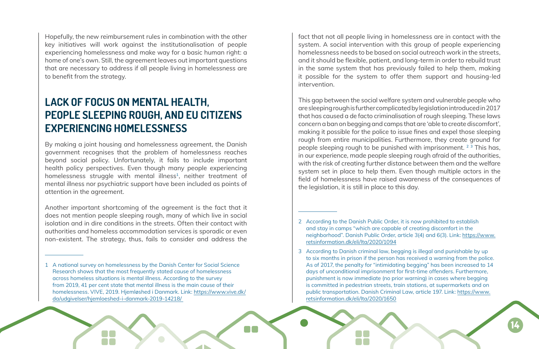fact that not all people living in homelessness are in contact with the system. A social intervention with this group of people experiencing homelessness needs to be based on social outreach work in the streets, and it should be flexible, patient, and long-term in order to rebuild trust in the same system that has previously failed to help them, making it possible for the system to offer them support and housing-led intervention.

This gap between the social welfare system and vulnerable people who are sleeping rough is further complicated by legislation introduced in 2017 that has caused a de facto criminalisation of rough sleeping. These laws concern a ban on begging and camps that are 'able to create discomfort', making it possible for the police to issue fines and expel those sleeping rough from entire municipalities. Furthermore, they create ground for people sleeping rough to be punished with imprisonment. **<sup>2</sup> <sup>3</sup>** This has, in our experience, made people sleeping rough afraid of the authorities, with the risk of creating further distance between them and the welfare system set in place to help them. Even though multiple actors in the field of homelessness have raised awareness of the consequences of the legislation, it is still in place to this day.

- 2 According to the Danish Public Order, it is now prohibited to establish and stay in camps "which are capable of creating discomfort in the neighborhood". Danish Public Order, article 3(4) and 6(3). Link: [https://www.](https://www.retsinformation.dk/eli/lta/2020/1094) [retsinformation.dk/eli/lta/2020/1094](https://www.retsinformation.dk/eli/lta/2020/1094)
- 3 According to Danish criminal law, begging is illegal and punishable by up to six months in prison if the person has received a warning from the police. As of 2017, the penalty for "intimidating begging" has been increased to 14 days of unconditional imprisonment for first-time offenders. Furthermore, punishment is now immediate (no prior warning) in cases where begging is committed in pedestrian streets, train stations, at supermarkets and on public transportation. Danish Criminal Law, article 197. Link: [https://www.](https://www.retsinformation.dk/eli/lta/2020/1650) [retsinformation.dk/eli/lta/2020/1650](https://www.retsinformation.dk/eli/lta/2020/1650)

M T

Hopefully, the new reimbursement rules in combination with the other key initiatives will work against the institutionalisation of people experiencing homelessness and make way for a basic human right: a home of one's own. Still, the agreement leaves out important questions that are necessary to address if all people living in homelessness are to benefit from the strategy.

## **LACK OF FOCUS ON MENTAL HEALTH, PEOPLE SLEEPING ROUGH, AND EU CITIZENS EXPERIENCING HOMELESSNESS**

By making a joint housing and homelessness agreement, the Danish government recognises that the problem of homelessness reaches beyond social policy. Unfortunately, it fails to include important health policy perspectives. Even though many people experiencing homelessness struggle with mental illness**1**, neither treatment of mental illness nor psychiatric support have been included as points of attention in the agreement.

Another important shortcoming of the agreement is the fact that it does not mention people sleeping rough, many of which live in social isolation and in dire conditions in the streets. Often their contact with authorities and homeless accommodation services is sporadic or even non-existent. The strategy, thus, fails to consider and address the

1 A national survey on homelessness by the Danish Center for Social Science Research shows that the most frequently stated cause of homelessness across homeless situations is mental illness. According to the survey from 2019, 41 per cent state that mental illness is the main cause of their homelessness. VIVE, 2019. Hjemløshed i Danmark. Link: [https://www.vive.dk/](https://www.vive.dk/da/udgivelser/hjemloeshed-i-danmark-2019-14218/) [da/udgivelser/hjemloeshed-i-danmark-2019-14218/](https://www.vive.dk/da/udgivelser/hjemloeshed-i-danmark-2019-14218/)

**14**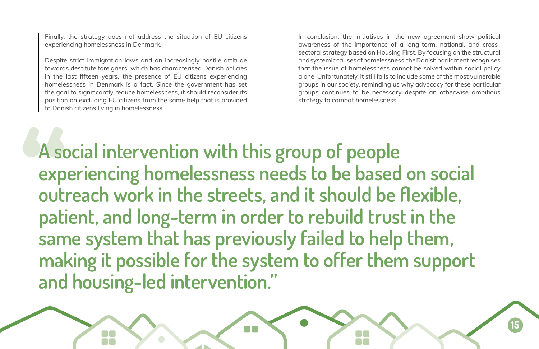In conclusion, the initiatives in the new agreement show political awareness of the importance of a long-term, national, and crosssectoral strategy based on Housing First. By focusing on the structural and systemic causes of homelessness, the Danish parliament recognises that the issue of homelessness cannot be solved within social policy alone. Unfortunately, it still fails to include some of the most vulnerable groups in our society, reminding us why advocacy for these particular groups continues to be necessary despite an otherwise ambitious strategy to combat homelessness.

Finally, the strategy does not address the situation of EU citizens experiencing homelessness in Denmark.

Despite strict immigration laws and an increasingly hostile attitude towards destitute foreigners, which has characterised Danish policies in the last fifteen years, the presence of EU citizens experiencing homelessness in Denmark is a fact. Since the government has set the goal to significantly reduce homelessness, it should reconsider its position on excluding EU citizens from the same help that is provided to Danish citizens living in homelessness.

**A social intervention with this group of people experiencing homelessness needs to be based on social outreach work in the streets, and it should be flexible, patient, and long-term in order to rebuild trust in the same system that has previously failed to help them, making it possible for the system to offer them support and housing-led intervention."**

N A